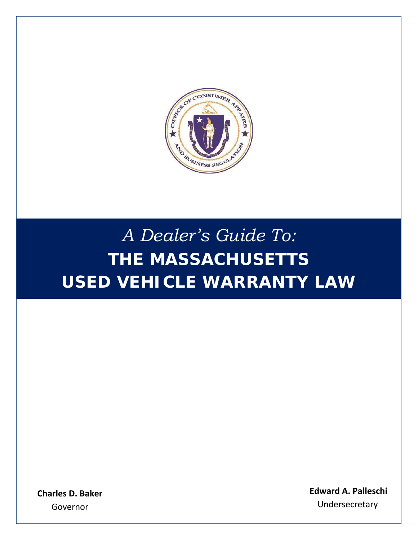

# *A Dealer's Guide To:* **THE MASSACHUSETTS USED VEHICLE WARRANTY LAW**

**Charles D. Baker** Governor

**Edward A. Palleschi**  Undersecretary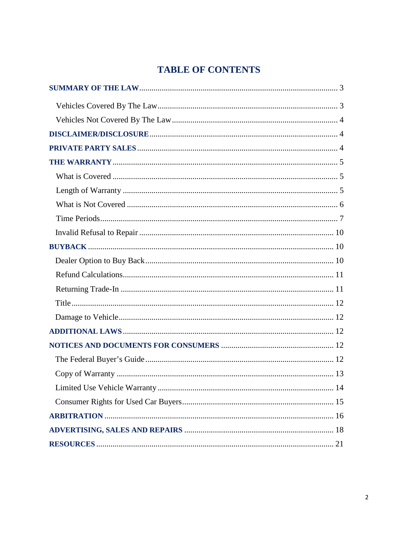## **TABLE OF CONTENTS**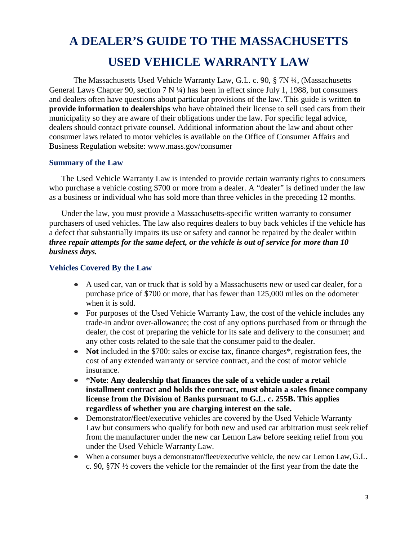## **A DEALER'S GUIDE TO THE MASSACHUSETTS USED VEHICLE WARRANTY LAW**

The Massachusetts Used Vehicle Warranty Law, G.L. c. 90, § 7N ¼, (Massachusetts General Laws Chapter 90, section 7 N ¼) has been in effect since July 1, 1988, but consumers and dealers often have questions about particular provisions of the law. This guide is written **to provide information to dealerships** who have obtained their license to sell used cars from their municipality so they are aware of their obligations under the law. For specific legal advice, dealers should contact private counsel. Additional information about the law and about other consumer laws related to motor vehicles is available on the Office of Consumer Affairs and Business Regulation website: [www.mass.gov/consumer](http://www.mass.gov/consumer)

#### <span id="page-2-0"></span>**Summary of the Law**

The Used Vehicle Warranty Law is intended to provide certain warranty rights to consumers who purchase a vehicle costing \$700 or more from a dealer. A "dealer" is defined under the law as a business or individual who has sold more than three vehicles in the preceding 12 months.

Under the law, you must provide a Massachusetts-specific written warranty to consumer purchasers of used vehicles. The law also requires dealers to buy back vehicles if the vehicle has a defect that substantially impairs its use or safety and cannot be repaired by the dealer within *three repair attempts for the same defect, or the vehicle is out of service for more than 10 business days.*

#### <span id="page-2-1"></span>**Vehicles Covered By the Law**

- A used car, van or truck that is sold by a Massachusetts new or used car dealer, for a purchase price of \$700 or more, that has fewer than 125,000 miles on the odometer when it is sold.
- For purposes of the Used Vehicle Warranty Law, the cost of the vehicle includes any trade-in and/or over-allowance; the cost of any options purchased from or through the dealer, the cost of preparing the vehicle for its sale and delivery to the consumer; and any other costs related to the sale that the consumer paid to the dealer.
- **Not** included in the \$700: sales or excise tax, finance charges<sup>\*</sup>, registration fees, the cost of any extended warranty or service contract, and the cost of motor vehicle insurance.
- \***Note**: **Any dealership that finances the sale of a vehicle under a retail installment contract and holds the contract, must obtain a sales finance company license from the Division of Banks pursuant to G.L. c. 255B. This applies regardless of whether you are charging interest on the sale.**
- Demonstrator/fleet/executive vehicles are covered by the Used Vehicle Warranty Law but consumers who qualify for both new and used car arbitration must seek relief from the manufacturer under the new car Lemon Law before seeking relief from you under the Used Vehicle Warranty Law.
- When a consumer buys a demonstrator/fleet/executive vehicle, the new car Lemon Law, G.L. c. 90, §7N ½ covers the vehicle for the remainder of the first year from the date the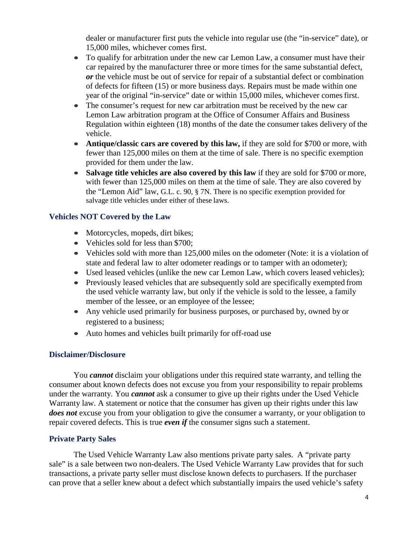dealer or manufacturer first puts the vehicle into regular use (the "in-service" date), or 15,000 miles, whichever comes first.

- To qualify for arbitration under the new car Lemon Law, a consumer must have their car repaired by the manufacturer three or more times for the same substantial defect, *or* the vehicle must be out of service for repair of a substantial defect or combination of defects for fifteen (15) or more business days. Repairs must be made within one year of the original "in-service" date or within 15,000 miles, whichever comes first.
- The consumer's request for new car arbitration must be received by the new car Lemon Law arbitration program at the Office of Consumer Affairs and Business Regulation within eighteen (18) months of the date the consumer takes delivery of the vehicle.
- **Antique/classic cars are covered by this law,** if they are sold for \$700 or more, with fewer than 125,000 miles on them at the time of sale. There is no specific exemption provided for them under the law.
- **Salvage title vehicles are also covered by this law** if they are sold for \$700 or more, with fewer than 125,000 miles on them at the time of sale. They are also covered by the "Lemon Aid" law, G.L. c. 90, § 7N. There is no specific exemption provided for salvage title vehicles under either of these laws.

#### <span id="page-3-0"></span>**Vehicles NOT Covered by the Law**

- Motorcycles, mopeds, dirt bikes;
- Vehicles sold for less than \$700;
- Vehicles sold with more than 125,000 miles on the odometer (Note: it is a violation of state and federal law to alter odometer readings or to tamper with an odometer);
- Used leased vehicles (unlike the new car Lemon Law, which covers leased vehicles);
- Previously leased vehicles that are subsequently sold are specifically exempted from the used vehicle warranty law, but only if the vehicle is sold to the lessee, a family member of the lessee, or an employee of the lessee;
- Any vehicle used primarily for business purposes, or purchased by, owned by or registered to a business;
- Auto homes and vehicles built primarily for off-road use

#### <span id="page-3-1"></span>**Disclaimer/Disclosure**

You *cannot* disclaim your obligations under this required state warranty, and telling the consumer about known defects does not excuse you from your responsibility to repair problems under the warranty. You *cannot* ask a consumer to give up their rights under the Used Vehicle Warranty law. A statement or notice that the consumer has given up their rights under this law *does not* excuse you from your obligation to give the consumer a warranty, or your obligation to repair covered defects. This is true *even if* the consumer signs such a statement.

#### <span id="page-3-2"></span>**Private Party Sales**

The Used Vehicle Warranty Law also mentions private party sales. A "private party sale" is a sale between two non-dealers. The Used Vehicle Warranty Law provides that for such transactions, a private party seller must disclose known defects to purchasers. If the purchaser can prove that a seller knew about a defect which substantially impairs the used vehicle's safety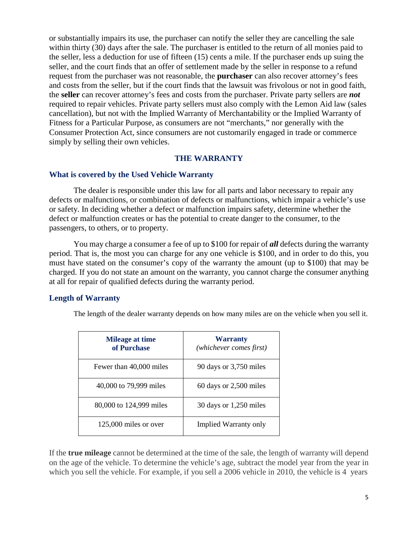or substantially impairs its use, the purchaser can notify the seller they are cancelling the sale within thirty (30) days after the sale. The purchaser is entitled to the return of all monies paid to the seller, less a deduction for use of fifteen (15) cents a mile. If the purchaser ends up suing the seller, and the court finds that an offer of settlement made by the seller in response to a refund request from the purchaser was not reasonable, the **purchaser** can also recover attorney's fees and costs from the seller, but if the court finds that the lawsuit was frivolous or not in good faith, the **seller** can recover attorney's fees and costs from the purchaser. Private party sellers are *not*  required to repair vehicles. Private party sellers must also comply with the Lemon Aid law (sales cancellation), but not with the Implied Warranty of Merchantability or the Implied Warranty of Fitness for a Particular Purpose, as consumers are not "merchants," nor generally with the Consumer Protection Act, since consumers are not customarily engaged in trade or commerce simply by selling their own vehicles.

#### **THE WARRANTY**

#### <span id="page-4-0"></span>**What is covered by the Used Vehicle Warranty**

The dealer is responsible under this law for all parts and labor necessary to repair any defects or malfunctions, or combination of defects or malfunctions, which impair a vehicle's use or safety. In deciding whether a defect or malfunction impairs safety, determine whether the defect or malfunction creates or has the potential to create danger to the consumer, to the passengers, to others, or to property.

You may charge a consumer a fee of up to \$100 for repair of *all* defects during the warranty period. That is, the most you can charge for any one vehicle is \$100, and in order to do this, you must have stated on the consumer's copy of the warranty the amount (up to \$100) that may be charged. If you do not state an amount on the warranty, you cannot charge the consumer anything at all for repair of qualified defects during the warranty period.

#### <span id="page-4-1"></span>**Length of Warranty**

The length of the dealer warranty depends on how many miles are on the vehicle when you sell it.

| <b>Mileage at time</b><br>of Purchase | Warranty<br>(whichever comes first) |  |  |
|---------------------------------------|-------------------------------------|--|--|
| Fewer than 40,000 miles               | 90 days or 3,750 miles              |  |  |
| 40,000 to 79,999 miles                | $60$ days or 2,500 miles            |  |  |
| 80,000 to 124,999 miles               | 30 days or 1,250 miles              |  |  |
| $125,000$ miles or over               | <b>Implied Warranty only</b>        |  |  |

If the **true mileage** cannot be determined at the time of the sale, the length of warranty will depend on the age of the vehicle. To determine the vehicle's age, subtract the model year from the year in which you sell the vehicle. For example, if you sell a 2006 vehicle in 2010, the vehicle is 4 years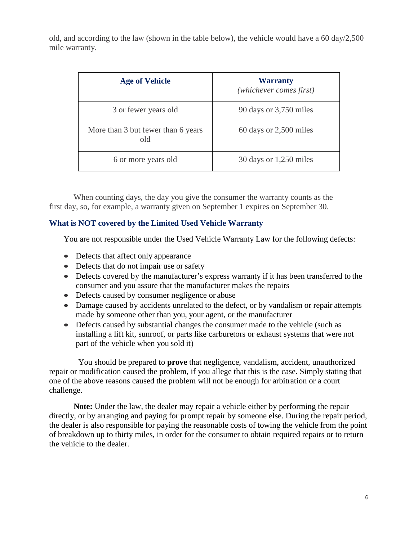old, and according to the law (shown in the table below), the vehicle would have a 60 day/2,500 mile warranty.

| <b>Age of Vehicle</b>                     | <b>Warranty</b><br>(whichever comes first) |  |
|-------------------------------------------|--------------------------------------------|--|
| 3 or fewer years old                      | 90 days or 3,750 miles                     |  |
| More than 3 but fewer than 6 years<br>old | 60 days or 2,500 miles                     |  |
| 6 or more years old                       | 30 days or 1,250 miles                     |  |

When counting days, the day you give the consumer the warranty counts as the first day, so, for example, a warranty given on September 1 expires on September 30.

#### **What is NOT covered by the Limited Used Vehicle Warranty**

You are not responsible under the Used Vehicle Warranty Law for the following defects:

- Defects that affect only appearance
- Defects that do not impair use or safety
- Defects covered by the manufacturer's express warranty if it has been transferred to the consumer and you assure that the manufacturer makes the repairs
- Defects caused by consumer negligence or abuse
- Damage caused by accidents unrelated to the defect, or by vandalism or repair attempts made by someone other than you, your agent, or the manufacturer
- Defects caused by substantial changes the consumer made to the vehicle (such as installing a lift kit, sunroof, or parts like carburetors or exhaust systems that were not part of the vehicle when you sold it)

You should be prepared to **prove** that negligence, vandalism, accident, unauthorized repair or modification caused the problem, if you allege that this is the case. Simply stating that one of the above reasons caused the problem will not be enough for arbitration or a court challenge.

**Note:** Under the law, the dealer may repair a vehicle either by performing the repair directly, or by arranging and paying for prompt repair by someone else. During the repair period, the dealer is also responsible for paying the reasonable costs of towing the vehicle from the point of breakdown up to thirty miles, in order for the consumer to obtain required repairs or to return the vehicle to the dealer.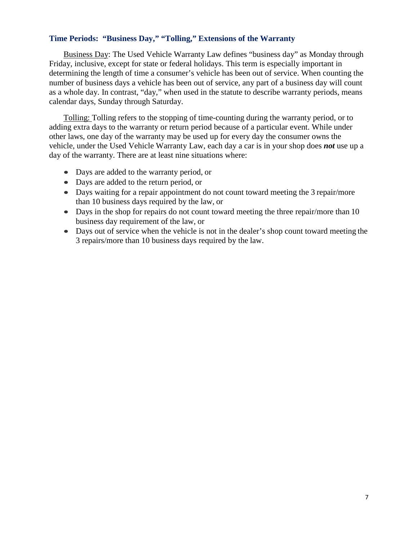#### **Time Periods: "Business Day," "Tolling," Extensions of the Warranty**

Business Day: The Used Vehicle Warranty Law defines "business day" as Monday through Friday, inclusive, except for state or federal holidays. This term is especially important in determining the length of time a consumer's vehicle has been out of service. When counting the number of business days a vehicle has been out of service, any part of a business day will count as a whole day. In contrast, "day," when used in the statute to describe warranty periods, means calendar days, Sunday through Saturday.

Tolling: Tolling refers to the stopping of time-counting during the warranty period, or to adding extra days to the warranty or return period because of a particular event. While under other laws, one day of the warranty may be used up for every day the consumer owns the vehicle, under the Used Vehicle Warranty Law, each day a car is in your shop does *not* use up a day of the warranty. There are at least nine situations where:

- Days are added to the warranty period, or
- Days are added to the return period, or
- Days waiting for a repair appointment do not count toward meeting the 3 repair/more than 10 business days required by the law, or
- Days in the shop for repairs do not count toward meeting the three repair/more than 10 business day requirement of the law, or
- Days out of service when the vehicle is not in the dealer's shop count toward meeting the 3 repairs/more than 10 business days required by the law.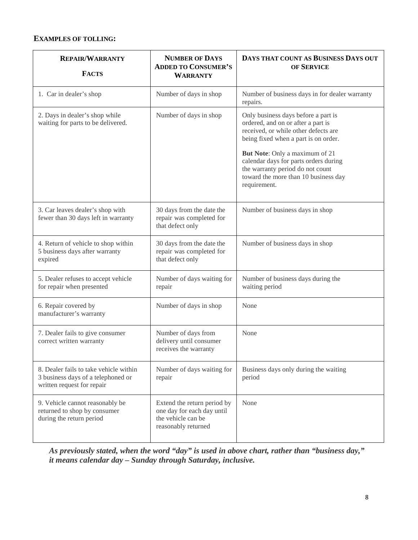#### **EXAMPLES OF TOLLING:**

| <b>REPAIR/WARRANTY</b><br><b>FACTS</b>                                                                     | <b>NUMBER OF DAYS</b><br><b>ADDED TO CONSUMER'S</b><br><b>WARRANTY</b>                                 | DAYS THAT COUNT AS BUSINESS DAYS OUT<br>OF SERVICE                                                                                                                  |  |  |
|------------------------------------------------------------------------------------------------------------|--------------------------------------------------------------------------------------------------------|---------------------------------------------------------------------------------------------------------------------------------------------------------------------|--|--|
| 1. Car in dealer's shop                                                                                    | Number of days in shop                                                                                 | Number of business days in for dealer warranty<br>repairs.                                                                                                          |  |  |
| 2. Days in dealer's shop while<br>waiting for parts to be delivered.                                       | Number of days in shop                                                                                 | Only business days before a part is<br>ordered, and on or after a part is<br>received, or while other defects are<br>being fixed when a part is on order.           |  |  |
|                                                                                                            |                                                                                                        | But Note: Only a maximum of 21<br>calendar days for parts orders during<br>the warranty period do not count<br>toward the more than 10 business day<br>requirement. |  |  |
| 3. Car leaves dealer's shop with<br>fewer than 30 days left in warranty                                    | 30 days from the date the<br>repair was completed for<br>that defect only                              | Number of business days in shop                                                                                                                                     |  |  |
| 4. Return of vehicle to shop within<br>5 business days after warranty<br>expired                           | 30 days from the date the<br>repair was completed for<br>that defect only                              | Number of business days in shop                                                                                                                                     |  |  |
| 5. Dealer refuses to accept vehicle<br>for repair when presented                                           | Number of days waiting for<br>repair                                                                   | Number of business days during the<br>waiting period                                                                                                                |  |  |
| 6. Repair covered by<br>manufacturer's warranty                                                            | Number of days in shop                                                                                 | None                                                                                                                                                                |  |  |
| 7. Dealer fails to give consumer<br>correct written warranty                                               | Number of days from<br>delivery until consumer<br>receives the warranty                                | None                                                                                                                                                                |  |  |
| 8. Dealer fails to take vehicle within<br>3 business days of a telephoned or<br>written request for repair | Number of days waiting for<br>repair                                                                   | Business days only during the waiting<br>period                                                                                                                     |  |  |
| 9. Vehicle cannot reasonably be<br>returned to shop by consumer<br>during the return period                | Extend the return period by<br>one day for each day until<br>the vehicle can be<br>reasonably returned | None                                                                                                                                                                |  |  |

*As previously stated, when the word "day" is used in above chart, rather than "business day," it means calendar day – Sunday through Saturday, inclusive.*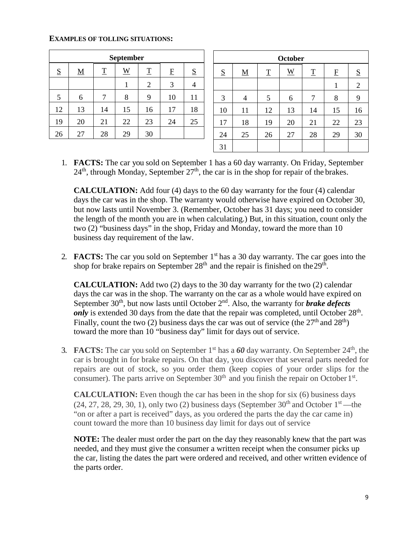#### **EXAMPLES OF TOLLING SITUATIONS:**

| <b>September</b> |          |                          |                 |                |              |    |
|------------------|----------|--------------------------|-----------------|----------------|--------------|----|
| S                | <u>M</u> | $\underline{\mathbf{T}}$ | $\underline{W}$ | $\mathbf T$    | $\mathbf{F}$ | S  |
|                  |          |                          |                 | $\overline{2}$ | 3            | 4  |
| 5                | 6        | 7                        | 8               | 9              | 10           | 11 |
| 12               | 13       | 14                       | 15              | 16             | 17           | 18 |
| 19               | 20       | 21                       | 22              | 23             | 24           | 25 |
| 26               | 27       | 28                       | 29              | 30             |              |    |

| <b>October</b> |                          |             |                        |             |             |            |
|----------------|--------------------------|-------------|------------------------|-------------|-------------|------------|
| S              | $\underline{\mathbf{M}}$ | $\mathbf T$ | $\underline{\text{W}}$ | $\mathbf T$ | $\mathbf F$ | S          |
|                |                          |             |                        |             | 1           | $\sqrt{2}$ |
| 3              | 4                        | 5           | 6                      | 7           | 8           | 9          |
| 10             | 11                       | 12          | 13                     | 14          | 15          | 16         |
| 17             | 18                       | 19          | 20                     | 21          | 22          | 23         |
| 24             | 25                       | 26          | 27                     | 28          | 29          | 30         |
| 31             |                          |             |                        |             |             |            |

1. **FACTS:** The car you sold on September 1 has a 60 day warranty. On Friday, September  $24<sup>th</sup>$ , through Monday, September  $27<sup>th</sup>$ , the car is in the shop for repair of the brakes.

**CALCULATION:** Add four (4) days to the 60 day warranty for the four (4) calendar days the car was in the shop. The warranty would otherwise have expired on October 30, but now lasts until November 3. (Remember, October has 31 days; you need to consider the length of the month you are in when calculating.) But, in this situation, count only the two (2) "business days" in the shop, Friday and Monday, toward the more than 10 business day requirement of the law.

2. **FACTS:** The car you sold on September 1st has a 30 day warranty. The car goes into the shop for brake repairs on September  $28<sup>th</sup>$  and the repair is finished on the  $29<sup>th</sup>$ .

**CALCULATION:** Add two (2) days to the 30 day warranty for the two (2) calendar days the car was in the shop. The warranty on the car as a whole would have expired on September 30<sup>th</sup>, but now lasts until October 2<sup>nd</sup>. Also, the warranty for **brake defects** *only* is extended 30 days from the date that the repair was completed, until October 28<sup>th</sup>. Finally, count the two (2) business days the car was out of service (the  $27<sup>th</sup>$  and  $28<sup>th</sup>$ ) toward the more than 10 "business day" limit for days out of service.

3. **FACTS:** The car you sold on September  $1<sup>st</sup>$  has a 60 day warranty. On September  $24<sup>th</sup>$ , the car is brought in for brake repairs. On that day, you discover that several parts needed for repairs are out of stock, so you order them (keep copies of your order slips for the consumer). The parts arrive on September  $30<sup>th</sup>$  and you finish the repair on October  $1<sup>st</sup>$ .

**CALCULATION:** Even though the car has been in the shop for six (6) business days  $(24, 27, 28, 29, 30, 1)$ , only two  $(2)$  business days (September 30<sup>th</sup> and October 1<sup>st</sup>—the "on or after a part is received" days, as you ordered the parts the day the car came in) count toward the more than 10 business day limit for days out of service

**NOTE:** The dealer must order the part on the day they reasonably knew that the part was needed, and they must give the consumer a written receipt when the consumer picks up the car, listing the dates the part were ordered and received, and other written evidence of the parts order.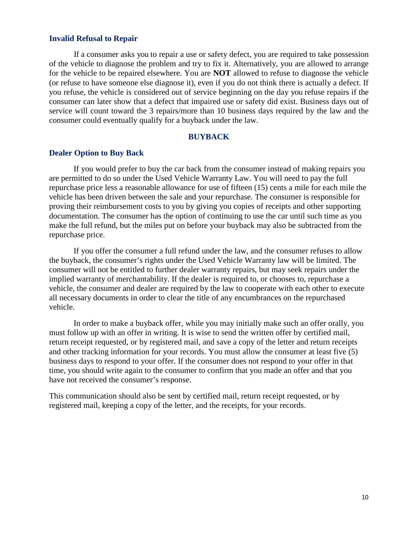#### <span id="page-9-0"></span>**Invalid Refusal to Repair**

If a consumer asks you to repair a use or safety defect, you are required to take possession of the vehicle to diagnose the problem and try to fix it. Alternatively, you are allowed to arrange for the vehicle to be repaired elsewhere. You are **NOT** allowed to refuse to diagnose the vehicle (or refuse to have someone else diagnose it), even if you do not think there is actually a defect. If you refuse, the vehicle is considered out of service beginning on the day you refuse repairs if the consumer can later show that a defect that impaired use or safety did exist. Business days out of service will count toward the 3 repairs/more than 10 business days required by the law and the consumer could eventually qualify for a buyback under the law.

#### **BUYBACK**

#### <span id="page-9-2"></span><span id="page-9-1"></span>**Dealer Option to Buy Back**

If you would prefer to buy the car back from the consumer instead of making repairs you are permitted to do so under the Used Vehicle Warranty Law. You will need to pay the full repurchase price less a reasonable allowance for use of fifteen (15) cents a mile for each mile the vehicle has been driven between the sale and your repurchase. The consumer is responsible for proving their reimbursement costs to you by giving you copies of receipts and other supporting documentation. The consumer has the option of continuing to use the car until such time as you make the full refund, but the miles put on before your buyback may also be subtracted from the repurchase price.

If you offer the consumer a full refund under the law, and the consumer refuses to allow the buyback, the consumer's rights under the Used Vehicle Warranty law will be limited. The consumer will not be entitled to further dealer warranty repairs, but may seek repairs under the implied warranty of merchantability. If the dealer is required to, or chooses to, repurchase a vehicle, the consumer and dealer are required by the law to cooperate with each other to execute all necessary documents in order to clear the title of any encumbrances on the repurchased vehicle.

In order to make a buyback offer, while you may initially make such an offer orally, you must follow up with an offer in writing. It is wise to send the written offer by certified mail, return receipt requested, or by registered mail, and save a copy of the letter and return receipts and other tracking information for your records. You must allow the consumer at least five (5) business days to respond to your offer. If the consumer does not respond to your offer in that time, you should write again to the consumer to confirm that you made an offer and that you have not received the consumer's response.

This communication should also be sent by certified mail, return receipt requested, or by registered mail, keeping a copy of the letter, and the receipts, for your records.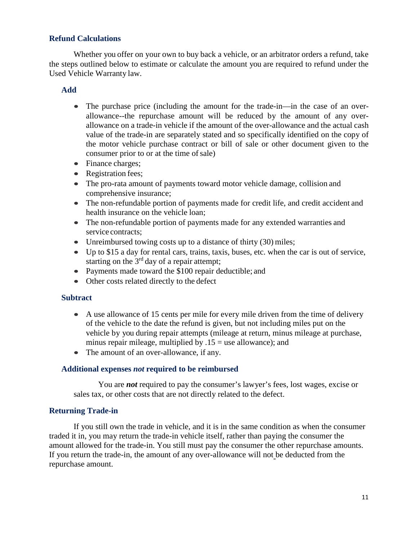#### <span id="page-10-0"></span>**Refund Calculations**

Whether you offer on your own to buy back a vehicle, or an arbitrator orders a refund, take the steps outlined below to estimate or calculate the amount you are required to refund under the Used Vehicle Warranty law.

#### **Add**

- The purchase price (including the amount for the trade-in—in the case of an overallowance--the repurchase amount will be reduced by the amount of any overallowance on a trade-in vehicle if the amount of the over-allowance and the actual cash value of the trade-in are separately stated and so specifically identified on the copy of the motor vehicle purchase contract or bill of sale or other document given to the consumer prior to or at the time of sale)
- Finance charges;
- Registration fees;
- The pro-rata amount of payments toward motor vehicle damage, collision and comprehensive insurance;
- The non-refundable portion of payments made for credit life, and credit accident and health insurance on the vehicle loan;
- The non-refundable portion of payments made for any extended warranties and service contracts;
- Unreimbursed towing costs up to a distance of thirty (30) miles;
- Up to \$15 a day for rental cars, trains, taxis, buses, etc. when the car is out of service, starting on the  $3<sup>rd</sup>$  day of a repair attempt;
- Payments made toward the \$100 repair deductible; and
- Other costs related directly to the defect

#### **Subtract**

- A use allowance of 15 cents per mile for every mile driven from the time of delivery of the vehicle to the date the refund is given, but not including miles put on the vehicle by you during repair attempts (mileage at return, minus mileage at purchase, minus repair mileage, multiplied by  $.15$  = use allowance); and
- The amount of an over-allowance, if any.

#### **Additional expenses** *not* **required to be reimbursed**

You are *not* required to pay the consumer's lawyer's fees, lost wages, excise or sales tax, or other costs that are not directly related to the defect.

#### <span id="page-10-1"></span>**Returning Trade-in**

If you still own the trade in vehicle, and it is in the same condition as when the consumer traded it in, you may return the trade-in vehicle itself, rather than paying the consumer the amount allowed for the trade-in. You still must pay the consumer the other repurchase amounts. If you return the trade-in, the amount of any over-allowance will not be deducted from the repurchase amount.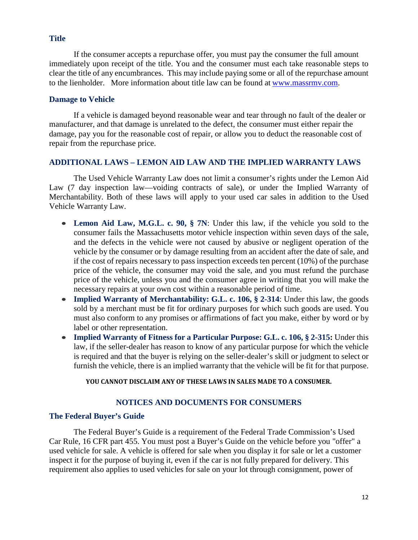#### <span id="page-11-0"></span>**Title**

If the consumer accepts a repurchase offer, you must pay the consumer the full amount immediately upon receipt of the title. You and the consumer must each take reasonable steps to clear the title of any encumbrances. This may include paying some or all of the repurchase amount to the lienholder. More information about title law can be found at [www.massrmv.com.](http://www.massrmv.com/)

#### <span id="page-11-1"></span>**Damage to Vehicle**

If a vehicle is damaged beyond reasonable wear and tear through no fault of the dealer or manufacturer, and that damage is unrelated to the defect, the consumer must either repair the damage, pay you for the reasonable cost of repair, or allow you to deduct the reasonable cost of repair from the repurchase price.

#### **ADDITIONAL LAWS – LEMON AID LAW AND THE IMPLIED WARRANTY LAWS**

The Used Vehicle Warranty Law does not limit a consumer's rights under the Lemon Aid Law (7 day inspection law—voiding contracts of sale), or under the Implied Warranty of Merchantability. Both of these laws will apply to your used car sales in addition to the Used Vehicle Warranty Law.

- **Lemon Aid Law, M.G.L. c. 90, § 7N**: Under this law, if the vehicle you sold to the consumer fails the Massachusetts motor vehicle inspection within seven days of the sale, and the defects in the vehicle were not caused by abusive or negligent operation of the vehicle by the consumer or by damage resulting from an accident after the date of sale, and if the cost of repairs necessary to pass inspection exceeds ten percent (10%) of the purchase price of the vehicle, the consumer may void the sale, and you must refund the purchase price of the vehicle, unless you and the consumer agree in writing that you will make the necessary repairs at your own cost within a reasonable period of time.
- **Implied Warranty of Merchantability: G.L. c. 106, § 2-314**: Under this law, the goods sold by a merchant must be fit for ordinary purposes for which such goods are used. You must also conform to any promises or affirmations of fact you make, either by word or by label or other representation.
- **Implied Warranty of Fitness for a Particular Purpose: G.L. c. 106, § 2-315:** Under this law, if the seller-dealer has reason to know of any particular purpose for which the vehicle is required and that the buyer is relying on the seller-dealer's skill or judgment to select or furnish the vehicle, there is an implied warranty that the vehicle will be fit for that purpose.

#### **YOU CANNOT DISCLAIM ANY OF THESE LAWS IN SALES MADE TO A CONSUMER.**

#### **NOTICES AND DOCUMENTS FOR CONSUMERS**

#### <span id="page-11-3"></span><span id="page-11-2"></span>**The Federal Buyer's Guide**

The Federal Buyer's Guide is a requirement of the Federal Trade Commission's Used Car Rule, 16 CFR part 455. You must post a Buyer's Guide on the vehicle before you "offer" a used vehicle for sale. A vehicle is offered for sale when you display it for sale or let a customer inspect it for the purpose of buying it, even if the car is not fully prepared for delivery. This requirement also applies to used vehicles for sale on your lot through consignment, power of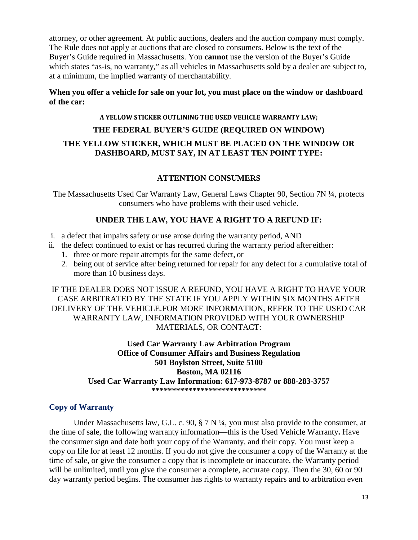attorney, or other agreement. At public auctions, dealers and the auction company must comply. The Rule does not apply at auctions that are closed to consumers. Below is the text of the Buyer's Guide required in Massachusetts. You **cannot** use the version of the Buyer's Guide which states "as-is, no warranty," as all vehicles in Massachusetts sold by a dealer are subject to, at a minimum, the implied warranty of merchantability.

#### **When you offer a vehicle for sale on your lot, you must place on the window or dashboard of the car:**

#### **A YELLOW STICKER OUTLINING THE USED VEHICLE WARRANTY LAW;**

## **THE FEDERAL BUYER'S GUIDE (REQUIRED ON WINDOW)**

#### **THE YELLOW STICKER, WHICH MUST BE PLACED ON THE WINDOW OR DASHBOARD, MUST SAY, IN AT LEAST TEN POINT TYPE:**

#### **ATTENTION CONSUMERS**

The Massachusetts Used Car Warranty Law, General Laws Chapter 90, Section 7N ¼, protects consumers who have problems with their used vehicle.

#### **UNDER THE LAW, YOU HAVE A RIGHT TO A REFUND IF:**

- i. a defect that impairs safety or use arose during the warranty period, AND
- ii. the defect continued to exist or has recurred during the warranty period after either:
	- 1. three or more repair attempts for the same defect, or
	- 2. being out of service after being returned for repair for any defect for a cumulative total of more than 10 business days.

IF THE DEALER DOES NOT ISSUE A REFUND, YOU HAVE A RIGHT TO HAVE YOUR CASE ARBITRATED BY THE STATE IF YOU APPLY WITHIN SIX MONTHS AFTER DELIVERY OF THE VEHICLE.FOR MORE INFORMATION, REFER TO THE USED CAR WARRANTY LAW, INFORMATION PROVIDED WITH YOUR OWNERSHIP MATERIALS, OR CONTACT:

#### **Used Car Warranty Law Arbitration Program Office of Consumer Affairs and Business Regulation 501 Boylston Street, Suite 5100 Boston, MA 02116 Used Car Warranty Law Information: 617-973-8787 or 888-283-3757 \*\*\*\*\*\*\*\*\*\*\*\*\*\*\*\*\*\*\*\*\*\*\*\*\*\*\*\***

#### <span id="page-12-0"></span>**Copy of Warranty**

Under Massachusetts law, G.L. c. 90,  $\S 7 \text{N} \frac{1}{4}$ , you must also provide to the consumer, at the time of sale, the following warranty information—this is the Used Vehicle Warranty**.** Have the consumer sign and date both your copy of the Warranty, and their copy. You must keep a copy on file for at least 12 months. If you do not give the consumer a copy of the Warranty at the time of sale, or give the consumer a copy that is incomplete or inaccurate, the Warranty period will be unlimited, until you give the consumer a complete, accurate copy. Then the 30, 60 or 90 day warranty period begins. The consumer has rights to warranty repairs and to arbitration even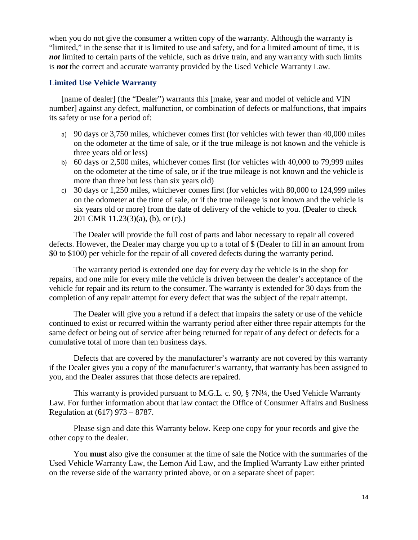when you do not give the consumer a written copy of the warranty. Although the warranty is "limited," in the sense that it is limited to use and safety, and for a limited amount of time, it is *not* limited to certain parts of the vehicle, such as drive train, and any warranty with such limits is *not* the correct and accurate warranty provided by the Used Vehicle Warranty Law.

#### <span id="page-13-0"></span>**Limited Use Vehicle Warranty**

[name of dealer] (the "Dealer") warrants this [make, year and model of vehicle and VIN number] against any defect, malfunction, or combination of defects or malfunctions, that impairs its safety or use for a period of:

- a) 90 days or 3,750 miles, whichever comes first (for vehicles with fewer than 40,000 miles on the odometer at the time of sale, or if the true mileage is not known and the vehicle is three years old or less)
- b) 60 days or 2,500 miles, whichever comes first (for vehicles with 40,000 to 79,999 miles on the odometer at the time of sale, or if the true mileage is not known and the vehicle is more than three but less than six years old)
- c) 30 days or 1,250 miles, whichever comes first (for vehicles with 80,000 to 124,999 miles on the odometer at the time of sale, or if the true mileage is not known and the vehicle is six years old or more) from the date of delivery of the vehicle to you. (Dealer to check 201 CMR 11.23(3)(a), (b), or (c).)

The Dealer will provide the full cost of parts and labor necessary to repair all covered defects. However, the Dealer may charge you up to a total of \$ (Dealer to fill in an amount from \$0 to \$100) per vehicle for the repair of all covered defects during the warranty period.

The warranty period is extended one day for every day the vehicle is in the shop for repairs, and one mile for every mile the vehicle is driven between the dealer's acceptance of the vehicle for repair and its return to the consumer. The warranty is extended for 30 days from the completion of any repair attempt for every defect that was the subject of the repair attempt.

The Dealer will give you a refund if a defect that impairs the safety or use of the vehicle continued to exist or recurred within the warranty period after either three repair attempts for the same defect or being out of service after being returned for repair of any defect or defects for a cumulative total of more than ten business days.

Defects that are covered by the manufacturer's warranty are not covered by this warranty if the Dealer gives you a copy of the manufacturer's warranty, that warranty has been assigned to you, and the Dealer assures that those defects are repaired.

This warranty is provided pursuant to M.G.L. c. 90, § 7N¼, the Used Vehicle Warranty Law. For further information about that law contact the Office of Consumer Affairs and Business Regulation at (617) 973 – 8787.

Please sign and date this Warranty below. Keep one copy for your records and give the other copy to the dealer.

You **must** also give the consumer at the time of sale the Notice with the summaries of the Used Vehicle Warranty Law, the Lemon Aid Law, and the Implied Warranty Law either printed on the reverse side of the warranty printed above, or on a separate sheet of paper: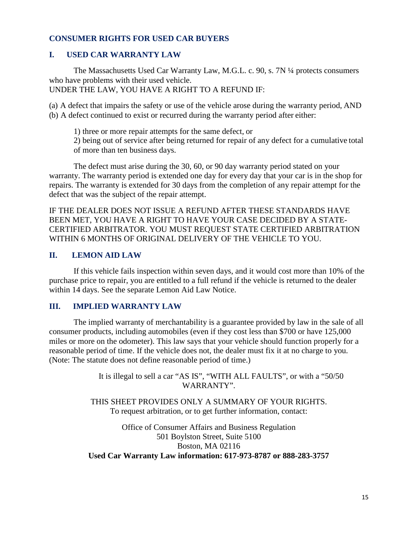#### <span id="page-14-0"></span>**CONSUMER RIGHTS FOR USED CAR BUYERS**

#### **I. USED CAR WARRANTY LAW**

The Massachusetts Used Car Warranty Law, M.G.L. c. 90, s. 7N ¼ protects consumers who have problems with their used vehicle. UNDER THE LAW, YOU HAVE A RIGHT TO A REFUND IF:

(a) A defect that impairs the safety or use of the vehicle arose during the warranty period, AND (b) A defect continued to exist or recurred during the warranty period after either:

1) three or more repair attempts for the same defect, or

2) being out of service after being returned for repair of any defect for a cumulative total of more than ten business days.

The defect must arise during the 30, 60, or 90 day warranty period stated on your warranty. The warranty period is extended one day for every day that your car is in the shop for repairs. The warranty is extended for 30 days from the completion of any repair attempt for the defect that was the subject of the repair attempt.

IF THE DEALER DOES NOT ISSUE A REFUND AFTER THESE STANDARDS HAVE BEEN MET, YOU HAVE A RIGHT TO HAVE YOUR CASE DECIDED BY A STATE-CERTIFIED ARBITRATOR. YOU MUST REQUEST STATE CERTIFIED ARBITRATION WITHIN 6 MONTHS OF ORIGINAL DELIVERY OF THE VEHICLE TO YOU.

#### **II. LEMON AID LAW**

If this vehicle fails inspection within seven days, and it would cost more than 10% of the purchase price to repair, you are entitled to a full refund if the vehicle is returned to the dealer within 14 days. See the separate Lemon Aid Law Notice.

#### **III. IMPLIED WARRANTY LAW**

The implied warranty of merchantability is a guarantee provided by law in the sale of all consumer products, including automobiles (even if they cost less than \$700 or have 125,000 miles or more on the odometer). This law says that your vehicle should function properly for a reasonable period of time. If the vehicle does not, the dealer must fix it at no charge to you. (Note: The statute does not define reasonable period of time.)

> It is illegal to sell a car "AS IS", "WITH ALL FAULTS", or with a "50/50 WARRANTY".

THIS SHEET PROVIDES ONLY A SUMMARY OF YOUR RIGHTS. To request arbitration, or to get further information, contact:

Office of Consumer Affairs and Business Regulation 501 Boylston Street, Suite 5100 Boston, MA 02116 **Used Car Warranty Law information: 617-973-8787 or 888-283-3757**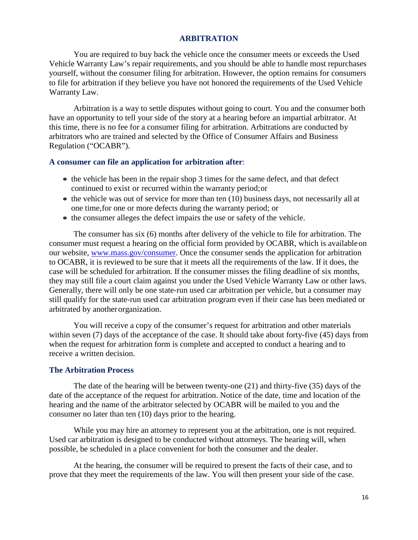#### **ARBITRATION**

<span id="page-15-0"></span>You are required to buy back the vehicle once the consumer meets or exceeds the Used Vehicle Warranty Law's repair requirements, and you should be able to handle most repurchases yourself, without the consumer filing for arbitration. However, the option remains for consumers to file for arbitration if they believe you have not honored the requirements of the Used Vehicle Warranty Law.

Arbitration is a way to settle disputes without going to court. You and the consumer both have an opportunity to tell your side of the story at a hearing before an impartial arbitrator. At this time, there is no fee for a consumer filing for arbitration. Arbitrations are conducted by arbitrators who are trained and selected by the Office of Consumer Affairs and Business Regulation ("OCABR").

#### **A consumer can file an application for arbitration after**:

- the vehicle has been in the repair shop 3 times for the same defect, and that defect continued to exist or recurred within the warranty period; or
- the vehicle was out of service for more than ten (10) business days, not necessarily all at one time, for one or more defects during the warranty period; or
- the consumer alleges the defect impairs the use or safety of the vehicle.

The consumer has six (6) months after delivery of the vehicle to file for arbitration. The consumer must request a hearing on the official form provided by OCABR, which is available on our website, [www.mass.gov/consumer.](http://www.mass.gov/consumer) Once the consumer sends the application for arbitration to OCABR, it is reviewed to be sure that it meets all the requirements of the law. If it does, the case will be scheduled for arbitration. If the consumer misses the filing deadline of six months, they may still file a court claim against you under the Used Vehicle Warranty Law or other laws. Generally, there will only be one state-run used car arbitration per vehicle, but a consumer may still qualify for the state-run used car arbitration program even if their case has been mediated or arbitrated by another organization.

You will receive a copy of the consumer's request for arbitration and other materials within seven (7) days of the acceptance of the case. It should take about forty-five (45) days from when the request for arbitration form is complete and accepted to conduct a hearing and to receive a written decision.

#### **The Arbitration Process**

The date of the hearing will be between twenty-one (21) and thirty-five (35) days of the date of the acceptance of the request for arbitration. Notice of the date, time and location of the hearing and the name of the arbitrator selected by OCABR will be mailed to you and the consumer no later than ten (10) days prior to the hearing.

While you may hire an attorney to represent you at the arbitration, one is not required. Used car arbitration is designed to be conducted without attorneys. The hearing will, when possible, be scheduled in a place convenient for both the consumer and the dealer.

At the hearing, the consumer will be required to present the facts of their case, and to prove that they meet the requirements of the law. You will then present your side of the case.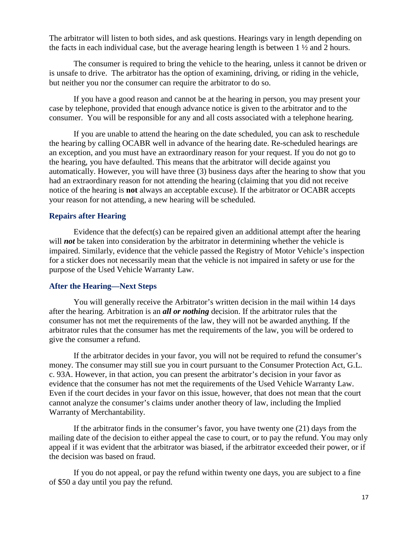The arbitrator will listen to both sides, and ask questions. Hearings vary in length depending on the facts in each individual case, but the average hearing length is between 1 ½ and 2 hours.

The consumer is required to bring the vehicle to the hearing, unless it cannot be driven or is unsafe to drive. The arbitrator has the option of examining, driving, or riding in the vehicle, but neither you nor the consumer can require the arbitrator to do so.

If you have a good reason and cannot be at the hearing in person, you may present your case by telephone, provided that enough advance notice is given to the arbitrator and to the consumer. You will be responsible for any and all costs associated with a telephone hearing.

If you are unable to attend the hearing on the date scheduled, you can ask to reschedule the hearing by calling OCABR well in advance of the hearing date. Re-scheduled hearings are an exception, and you must have an extraordinary reason for your request. If you do not go to the hearing, you have defaulted. This means that the arbitrator will decide against you automatically. However, you will have three (3) business days after the hearing to show that you had an extraordinary reason for not attending the hearing (claiming that you did not receive notice of the hearing is **not** always an acceptable excuse). If the arbitrator or OCABR accepts your reason for not attending, a new hearing will be scheduled.

#### **Repairs after Hearing**

Evidence that the defect(s) can be repaired given an additional attempt after the hearing will *not* be taken into consideration by the arbitrator in determining whether the vehicle is impaired. Similarly, evidence that the vehicle passed the Registry of Motor Vehicle's inspection for a sticker does not necessarily mean that the vehicle is not impaired in safety or use for the purpose of the Used Vehicle Warranty Law.

#### **After the Hearing—Next Steps**

You will generally receive the Arbitrator's written decision in the mail within 14 days after the hearing. Arbitration is an *all or nothing* decision. If the arbitrator rules that the consumer has not met the requirements of the law, they will not be awarded anything. If the arbitrator rules that the consumer has met the requirements of the law, you will be ordered to give the consumer a refund.

If the arbitrator decides in your favor, you will not be required to refund the consumer's money. The consumer may still sue you in court pursuant to the Consumer Protection Act, G.L. c. 93A. However, in that action, you can present the arbitrator's decision in your favor as evidence that the consumer has not met the requirements of the Used Vehicle Warranty Law. Even if the court decides in your favor on this issue, however, that does not mean that the court cannot analyze the consumer's claims under another theory of law, including the Implied Warranty of Merchantability.

If the arbitrator finds in the consumer's favor, you have twenty one (21) days from the mailing date of the decision to either appeal the case to court, or to pay the refund. You may only appeal if it was evident that the arbitrator was biased, if the arbitrator exceeded their power, or if the decision was based on fraud.

If you do not appeal, or pay the refund within twenty one days, you are subject to a fine of \$50 a day until you pay the refund.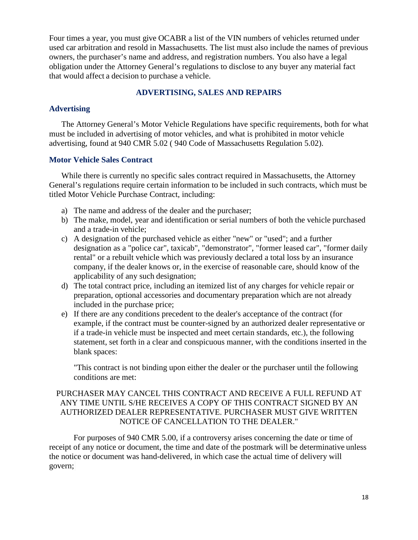Four times a year, you must give OCABR a list of the VIN numbers of vehicles returned under used car arbitration and resold in Massachusetts. The list must also include the names of previous owners, the purchaser's name and address, and registration numbers. You also have a legal obligation under the Attorney General's regulations to disclose to any buyer any material fact that would affect a decision to purchase a vehicle.

#### **ADVERTISING, SALES AND REPAIRS**

#### <span id="page-17-0"></span>**Advertising**

The Attorney General's Motor Vehicle Regulations have specific requirements, both for what must be included in advertising of motor vehicles, and what is prohibited in motor vehicle advertising, found at 940 CMR 5.02 ( 940 Code of Massachusetts Regulation 5.02).

#### **Motor Vehicle Sales Contract**

While there is currently no specific sales contract required in Massachusetts, the Attorney General's regulations require certain information to be included in such contracts, which must be titled Motor Vehicle Purchase Contract, including:

- a) The name and address of the dealer and the purchaser;
- b) The make, model, year and identification or serial numbers of both the vehicle purchased and a trade-in vehicle;
- c) A designation of the purchased vehicle as either "new" or "used"; and a further designation as a "police car", taxicab", "demonstrator", "former leased car", "former daily rental" or a rebuilt vehicle which was previously declared a total loss by an insurance company, if the dealer knows or, in the exercise of reasonable care, should know of the applicability of any such designation;
- d) The total contract price, including an itemized list of any charges for vehicle repair or preparation, optional accessories and documentary preparation which are not already included in the purchase price;
- e) If there are any conditions precedent to the dealer's acceptance of the contract (for example, if the contract must be counter-signed by an authorized dealer representative or if a trade-in vehicle must be inspected and meet certain standards, etc.), the following statement, set forth in a clear and conspicuous manner, with the conditions inserted in the blank spaces:

"This contract is not binding upon either the dealer or the purchaser until the following conditions are met:

#### PURCHASER MAY CANCEL THIS CONTRACT AND RECEIVE A FULL REFUND AT ANY TIME UNTIL S/HE RECEIVES A COPY OF THIS CONTRACT SIGNED BY AN AUTHORIZED DEALER REPRESENTATIVE. PURCHASER MUST GIVE WRITTEN NOTICE OF CANCELLATION TO THE DEALER."

For purposes of 940 CMR 5.00, if a controversy arises concerning the date or time of receipt of any notice or document, the time and date of the postmark will be determinative unless the notice or document was hand-delivered, in which case the actual time of delivery will govern;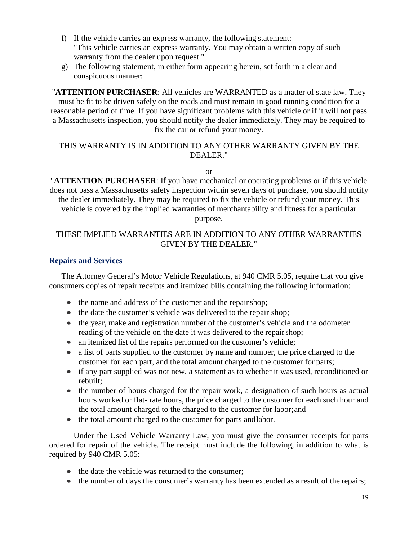- f) If the vehicle carries an express warranty, the following statement: "This vehicle carries an express warranty. You may obtain a written copy of such warranty from the dealer upon request."
- g) The following statement, in either form appearing herein, set forth in a clear and conspicuous manner:

"**ATTENTION PURCHASER**: All vehicles are WARRANTED as a matter of state law. They must be fit to be driven safely on the roads and must remain in good running condition for a reasonable period of time. If you have significant problems with this vehicle or if it will not pass a Massachusetts inspection, you should notify the dealer immediately. They may be required to fix the car or refund your money.

#### THIS WARRANTY IS IN ADDITION TO ANY OTHER WARRANTY GIVEN BY THE DEALER."

or

"**ATTENTION PURCHASER**: If you have mechanical or operating problems or if this vehicle does not pass a Massachusetts safety inspection within seven days of purchase, you should notify the dealer immediately. They may be required to fix the vehicle or refund your money. This vehicle is covered by the implied warranties of merchantability and fitness for a particular purpose.

#### THESE IMPLIED WARRANTIES ARE IN ADDITION TO ANY OTHER WARRANTIES GIVEN BY THE DEALER."

#### **Repairs and Services**

The Attorney General's Motor Vehicle Regulations, at 940 CMR 5.05, require that you give consumers copies of repair receipts and itemized bills containing the following information:

- the name and address of the customer and the repair shop;
- the date the customer's vehicle was delivered to the repair shop;
- the year, make and registration number of the customer's vehicle and the odometer reading of the vehicle on the date it was delivered to the repair shop;
- an itemized list of the repairs performed on the customer's vehicle;
- a list of parts supplied to the customer by name and number, the price charged to the customer for each part, and the total amount charged to the customer for parts;
- if any part supplied was not new, a statement as to whether it was used, reconditioned or rebuilt;
- the number of hours charged for the repair work, a designation of such hours as actual hours worked or flat- rate hours, the price charged to the customer for each such hour and the total amount charged to the charged to the customer for labor; and
- the total amount charged to the customer for parts and labor.

Under the Used Vehicle Warranty Law, you must give the consumer receipts for parts ordered for repair of the vehicle. The receipt must include the following, in addition to what is required by 940 CMR 5.05:

- the date the vehicle was returned to the consumer;
- the number of days the consumer's warranty has been extended as a result of the repairs;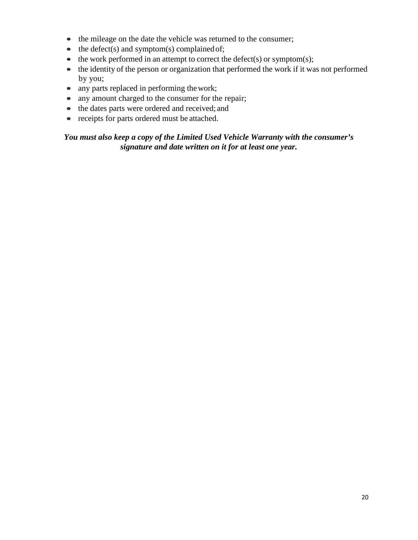- the mileage on the date the vehicle was returned to the consumer;
- $\bullet$  the defect(s) and symptom(s) complained of;
- the work performed in an attempt to correct the defect(s) or symptom(s);
- the identity of the person or organization that performed the work if it was not performed by you;
- any parts replaced in performing the work;
- any amount charged to the consumer for the repair;
- the dates parts were ordered and received; and
- receipts for parts ordered must be attached.

#### *You must also keep a copy of the Limited Used Vehicle Warranty with the consumer's signature and date written on it for at least one year.*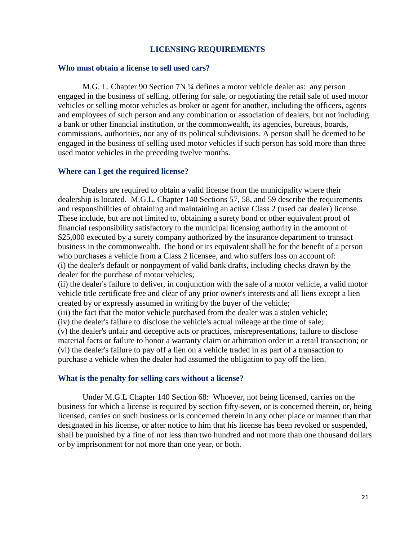#### **LICENSING REQUIREMENTS**

#### <span id="page-20-0"></span>**Who must obtain a license to sell used cars?**

M.G. L. Chapter 90 Section 7N ¼ defines a motor vehicle dealer as: any person engaged in the business of selling, offering for sale, or negotiating the retail sale of used motor vehicles or selling motor vehicles as broker or agent for another, including the officers, agents and employees of such person and any combination or association of dealers, but not including a bank or other financial institution, or the commonwealth, its agencies, bureaus, boards, commissions, authorities, nor any of its political subdivisions. A person shall be deemed to be engaged in the business of selling used motor vehicles if such person has sold more than three used motor vehicles in the preceding twelve months.

#### **Where can I get the required license?**

Dealers are required to obtain a valid license from the municipality where their dealership is located. M.G.L. Chapter 140 Sections 57, 58, and 59 describe the requirements and responsibilities of obtaining and maintaining an active Class 2 (used car dealer) license. These include, but are not limited to, obtaining a surety bond or other equivalent proof of financial responsibility satisfactory to the municipal licensing authority in the amount of \$25,000 executed by a surety company authorized by the insurance department to transact business in the commonwealth. The bond or its equivalent shall be for the benefit of a person who purchases a vehicle from a Class 2 licensee, and who suffers loss on account of: (i) the dealer's default or nonpayment of valid bank drafts, including checks drawn by the dealer for the purchase of motor vehicles;

(ii) the dealer's failure to deliver, in conjunction with the sale of a motor vehicle, a valid motor vehicle title certificate free and clear of any prior owner's interests and all liens except a lien created by or expressly assumed in writing by the buyer of the vehicle;

(iii) the fact that the motor vehicle purchased from the dealer was a stolen vehicle;

(iv) the dealer's failure to disclose the vehicle's actual mileage at the time of sale;

(v) the dealer's unfair and deceptive acts or practices, misrepresentations, failure to disclose material facts or failure to honor a warranty claim or arbitration order in a retail transaction; or (vi) the dealer's failure to pay off a lien on a vehicle traded in as part of a transaction to purchase a vehicle when the dealer had assumed the obligation to pay off the lien.

#### **What is the penalty for selling cars without a license?**

Under M.G.L Chapter 140 Section 68: Whoever, not being licensed, carries on the business for which a license is required by section fifty-seven, or is concerned therein, or, being licensed, carries on such business or is concerned therein in any other place or manner than that designated in his license, or after notice to him that his license has been revoked or suspended, shall be punished by a fine of not less than two hundred and not more than one thousand dollars or by imprisonment for not more than one year, or both.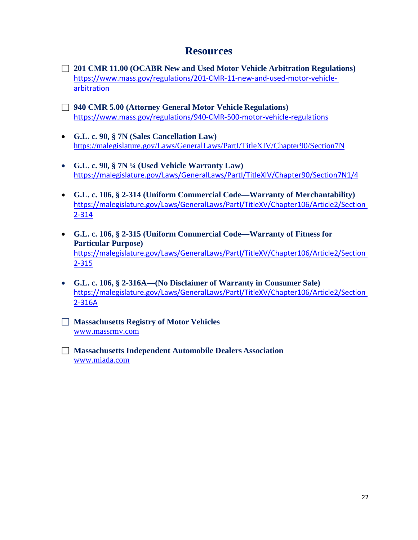## **Resources**

- **201 CMR 11.00 (OCABR New and Used Motor Vehicle Arbitration Regulations)**  [https://www.mass.gov/regulations/201-CMR-11-new-and-used-motor-vehicle](https://www.mass.gov/regulations/201-CMR-11-new-and-used-motor-vehicle-arbitration)[arbitration](https://www.mass.gov/regulations/201-CMR-11-new-and-used-motor-vehicle-arbitration)
- **940 CMR 5.00 (Attorney General Motor Vehicle Regulations)** <https://www.mass.gov/regulations/940-CMR-500-motor-vehicle-regulations>
- **G.L. c. 90, § 7N (Sales Cancellation Law)** <https://malegislature.gov/Laws/GeneralLaws/PartI/TitleXIV/Chapter90/Section7N>
- **G.L. c. 90, § 7N ¼ (Used Vehicle Warranty Law)** <https://malegislature.gov/Laws/GeneralLaws/PartI/TitleXIV/Chapter90/Section7N1/4>
- **G.L. c. 106, § 2-314 (Uniform Commercial Code—Warranty of Merchantability)**  [https://malegislature.gov/Laws/GeneralLaws/PartI/TitleXV/Chapter106/Article2/Section](https://malegislature.gov/Laws/GeneralLaws/PartI/TitleXV/Chapter106/Article2/Section2-314)  [2-314](https://malegislature.gov/Laws/GeneralLaws/PartI/TitleXV/Chapter106/Article2/Section2-314)
- **G.L. c. 106, § 2-315 (Uniform Commercial Code—Warranty of Fitness for Particular Purpose)**  [https://malegislature.gov/Laws/GeneralLaws/PartI/TitleXV/Chapter106/Article2/Section](https://malegislature.gov/Laws/GeneralLaws/PartI/TitleXV/Chapter106/Article2/Section2-315)  [2-315](https://malegislature.gov/Laws/GeneralLaws/PartI/TitleXV/Chapter106/Article2/Section2-315)
- **G.L. c. 106, § 2-316A—(No Disclaimer of Warranty in Consumer Sale)**  [https://malegislature.gov/Laws/GeneralLaws/PartI/TitleXV/Chapter106/Article2/Section](https://malegislature.gov/Laws/GeneralLaws/PartI/TitleXV/Chapter106/Article2/Section2-316A)  [2-316A](https://malegislature.gov/Laws/GeneralLaws/PartI/TitleXV/Chapter106/Article2/Section2-316A)
- **Massachusetts Registry of Motor Vehicles** [www.massrmv.com](http://www.massrmv.com/)
- **Massachusetts Independent Automobile Dealers Association** [www.miada.com](http://www.miada.com/)